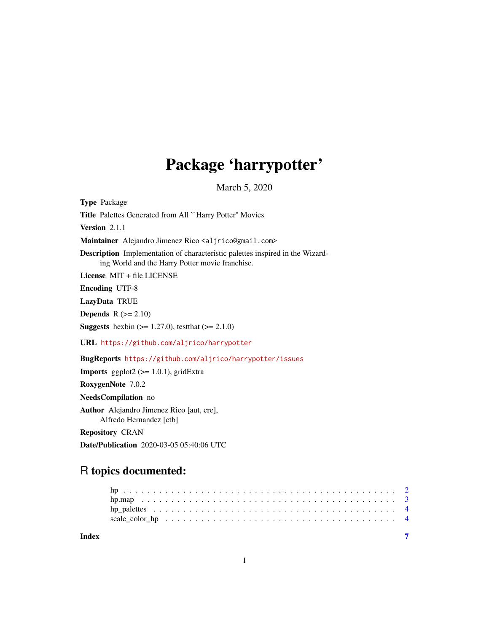# Package 'harrypotter'

March 5, 2020

<span id="page-0-0"></span>Type Package Title Palettes Generated from All ``Harry Potter'' Movies Version 2.1.1 Maintainer Alejandro Jimenez Rico <aljrico@gmail.com> Description Implementation of characteristic palettes inspired in the Wizarding World and the Harry Potter movie franchise. License MIT + file LICENSE Encoding UTF-8 LazyData TRUE **Depends**  $R$  ( $>= 2.10$ ) **Suggests** hexbin ( $> = 1.27.0$ ), test that ( $> = 2.1.0$ ) URL <https://github.com/aljrico/harrypotter> BugReports <https://github.com/aljrico/harrypotter/issues> **Imports** ggplot2  $(>= 1.0.1)$ , gridExtra RoxygenNote 7.0.2 NeedsCompilation no Author Alejandro Jimenez Rico [aut, cre], Alfredo Hernandez [ctb] Repository CRAN

## R topics documented:

Date/Publication 2020-03-05 05:40:06 UTC

**Index** [7](#page-6-0) **7**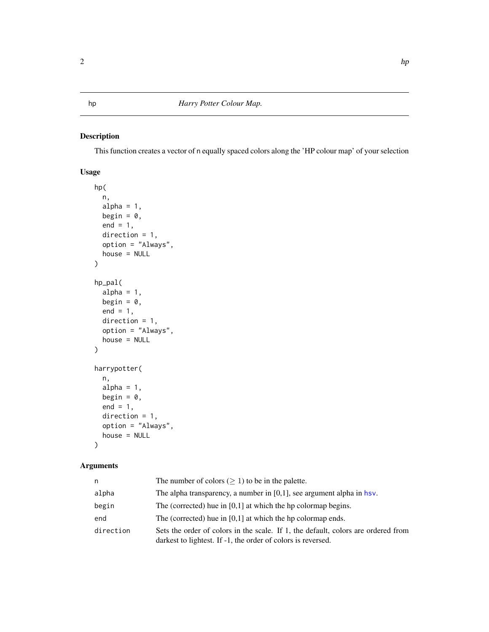### <span id="page-1-0"></span>Description

This function creates a vector of n equally spaced colors along the 'HP colour map' of your selection

#### Usage

```
hp(
  n,
 alpha = 1,
 begin = 0,
 end = 1,
 direction = 1,
 option = "Always",
 house = NULL
\mathcal{L}hp_pal(
  alpha = 1,
 begin = 0,
 end = 1,
 direction = 1,
 option = "Always",
 house = NULL
)
harrypotter(
 n,
  alpha = 1,
 begin = 0,
 end = 1,
 direction = 1,
 option = "Always",
 house = NULL
\mathcal{L}
```
#### Arguments

| n         | The number of colors ( $\geq$ 1) to be in the palette.                                                                                            |
|-----------|---------------------------------------------------------------------------------------------------------------------------------------------------|
| alpha     | The alpha transparency, a number in $[0,1]$ , see argument alpha in hsv.                                                                          |
| begin     | The (corrected) hue in $[0,1]$ at which the hp colormap begins.                                                                                   |
| end       | The (corrected) hue in $[0,1]$ at which the hp colormap ends.                                                                                     |
| direction | Sets the order of colors in the scale. If 1, the default, colors are ordered from<br>darkest to lightest. If -1, the order of colors is reversed. |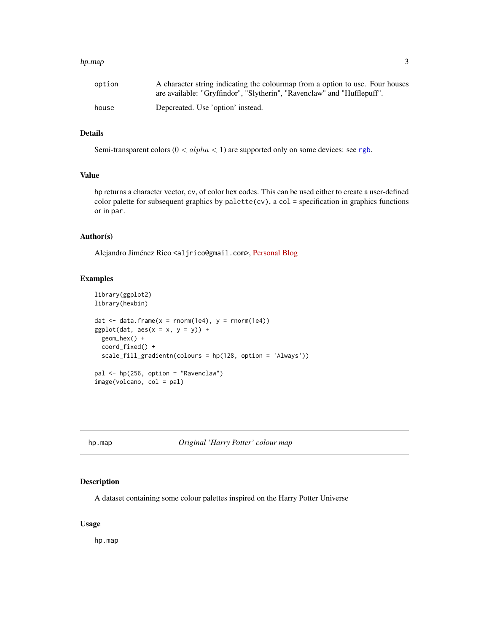#### <span id="page-2-0"></span>hp.map 3

| option | A character string indicating the colourmap from a option to use. Four houses |
|--------|-------------------------------------------------------------------------------|
|        | are available: "Gryffindor", "Slytherin", "Ravenclaw" and "Hufflepuff".       |
| house  | Depcreated. Use 'option' instead.                                             |

#### Details

Semi-transparent colors ( $0 < alpha < 1$ ) are supported only on some devices: see [rgb](#page-0-0).

#### Value

hp returns a character vector, cv, of color hex codes. This can be used either to create a user-defined color palette for subsequent graphics by  $palette(cv)$ , a col = specification in graphics functions or in par.

#### Author(s)

Alejandro Jiménez Rico <aljrico@gmail.com>, [Personal Blog](https://aljrico.github.io)

#### Examples

```
library(ggplot2)
library(hexbin)
dat \le data.frame(x = rnorm(1e4), y = rnorm(1e4))
ggplot(data, aes(x = x, y = y)) +geom_hex() +
  coord_fixed() +
  scale_fill_gradientn(colours = hp(128, option = 'Always'))
pal <- hp(256, option = "Ravenclaw")
image(volcano, col = pal)
```
hp.map *Original 'Harry Potter' colour map*

#### Description

A dataset containing some colour palettes inspired on the Harry Potter Universe

#### Usage

hp.map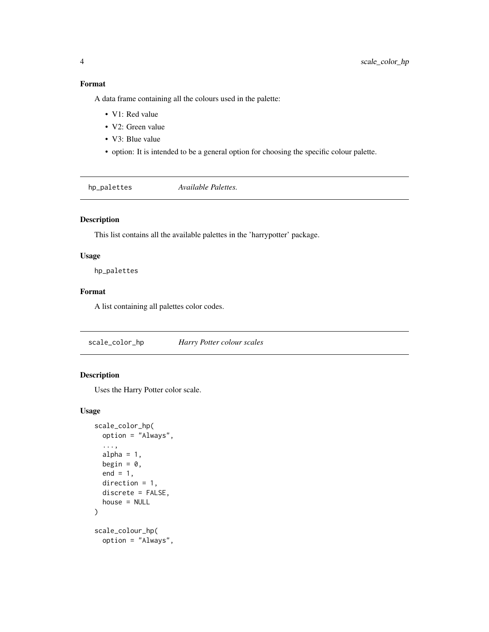#### <span id="page-3-0"></span>Format

A data frame containing all the colours used in the palette:

- V1: Red value
- V2: Green value
- V3: Blue value
- option: It is intended to be a general option for choosing the specific colour palette.

hp\_palettes *Available Palettes.*

#### Description

This list contains all the available palettes in the 'harrypotter' package.

#### Usage

hp\_palettes

#### Format

A list containing all palettes color codes.

scale\_color\_hp *Harry Potter colour scales*

#### Description

Uses the Harry Potter color scale.

#### Usage

```
scale_color_hp(
  option = "Always",
  ...,
  alpha = 1,
 begin = 0,
  end = 1,
 direction = 1,
  discrete = FALSE,
 house = NULL
)
scale_colour_hp(
  option = "Always",
```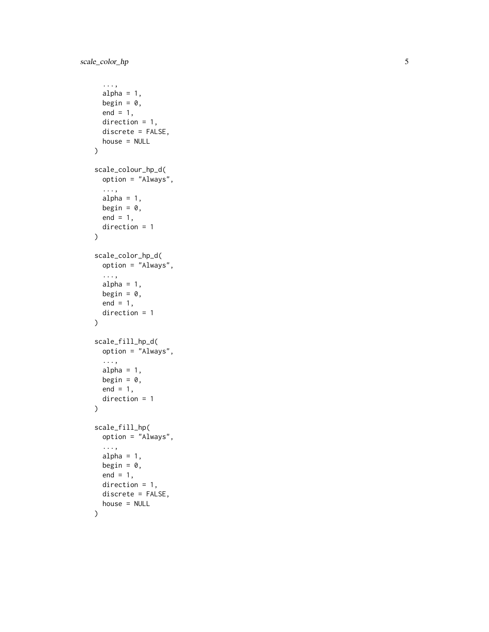```
...,
  alpha = 1,
  begin = 0,
  end = 1,
  direction = 1,
  discrete = FALSE,
  house = NULL
\mathcal{L}scale_colour_hp_d(
  option = "Always",
  ...,
  alpha = 1,
  begin = 0,
  end = 1,
  direction = 1
\mathcal{L}scale_color_hp_d(
  option = "Always",
  ...,
  alpha = 1,
  begin = 0,
  end = 1,
  direction = 1
)
scale_fill_hp_d(
  option = "Always",
  ...,
  alpha = 1,
  begin = 0,
  end = 1,
  direction = 1
\overline{\phantom{a}}scale_fill_hp(
  option = "Always",
  ...,
  alpha = 1,
  begin = 0,
  end = 1,
  direction = 1,
  discrete = FALSE,
  house = NULL
)
```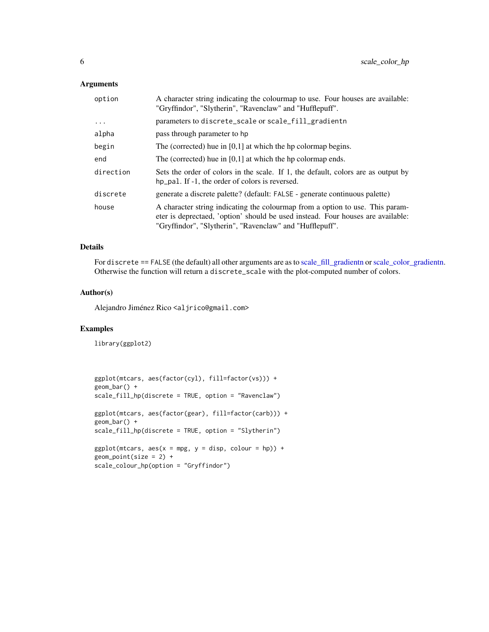#### <span id="page-5-0"></span>Arguments

| option    | A character string indicating the colourmap to use. Four houses are available:<br>"Gryffindor", "Slytherin", "Ravenclaw" and "Hufflepuff".                                                                                   |
|-----------|------------------------------------------------------------------------------------------------------------------------------------------------------------------------------------------------------------------------------|
| $\ddots$  | parameters to discrete_scale or scale_fill_gradientn                                                                                                                                                                         |
| alpha     | pass through parameter to hp                                                                                                                                                                                                 |
| begin     | The (corrected) hue in $[0,1]$ at which the hp colormap begins.                                                                                                                                                              |
| end       | The (corrected) hue in $[0,1]$ at which the hp colormap ends.                                                                                                                                                                |
| direction | Sets the order of colors in the scale. If 1, the default, colors are as output by<br>hp_pal. If -1, the order of colors is reversed.                                                                                         |
| discrete  | generate a discrete palette? (default: FALSE - generate continuous palette)                                                                                                                                                  |
| house     | A character string indicating the colourmap from a option to use. This param-<br>eter is deprectaed, 'option' should be used instead. Four houses are available:<br>"Gryffindor", "Slytherin", "Ravenclaw" and "Hufflepuff". |

#### Details

For discrete == FALSE (the default) all other arguments are as to [scale\\_fill\\_gradientn](#page-0-0) or [scale\\_color\\_gradientn.](#page-0-0) Otherwise the function will return a discrete\_scale with the plot-computed number of colors.

#### Author(s)

Alejandro Jiménez Rico <aljrico@gmail.com>

#### Examples

library(ggplot2)

```
ggplot(mtcars, aes(factor(cyl), fill=factor(vs))) +
geom_bar() +
scale_fill_hp(discrete = TRUE, option = "Ravenclaw")
ggplot(mtcars, aes(factor(gear), fill=factor(carb))) +
geom_bar() +
scale_fill_hp(discrete = TRUE, option = "Slytherin")
ggplot(mtcars, aes(x = mpg, y = disp, colour = hp)) +geom\_point(size = 2) +scale_colour_hp(option = "Gryffindor")
```